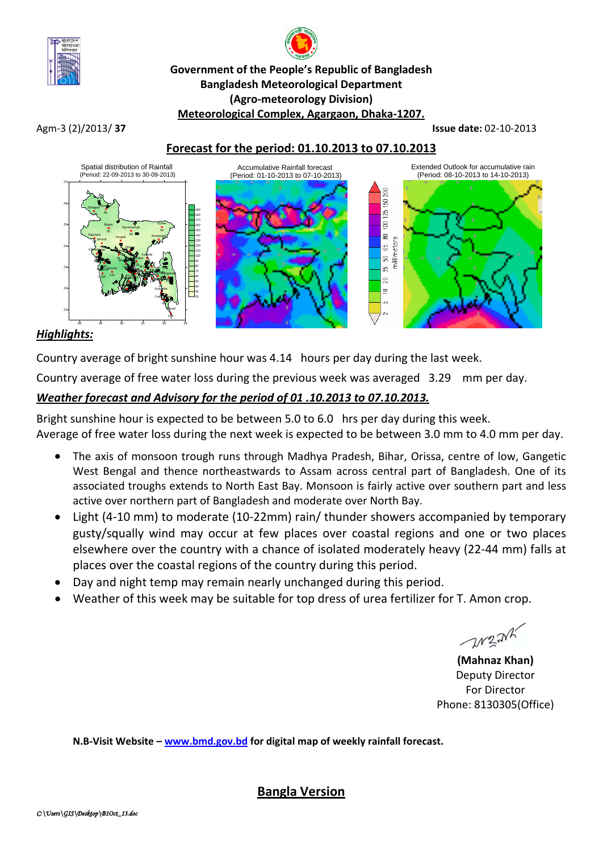

# **Government of the People's Republic of Bangladesh Bangladesh Meteorological Department (Agro-meteorology Division) Meteorological Complex, Agargaon, Dhaka-1207.**

Agm-3 (2)/2013/ **37 Issue date:** 02-10-2013

# **Forecast for the period: 01.10.2013 to 07.10.2013**



# *Highlights:*

Country average of bright sunshine hour was 4.14 hours per day during the last week.

Country average of free water loss during the previous week was averaged 3.29 mm per day.

# *Weather forecast and Advisory for the period of 01 .10.2013 to 07.10.2013.*

Bright sunshine hour is expected to be between 5.0 to 6.0 hrs per day during this week. Average of free water loss during the next week is expected to be between 3.0 mm to 4.0 mm per day.

- The axis of monsoon trough runs through Madhya Pradesh, Bihar, Orissa, centre of low, Gangetic West Bengal and thence northeastwards to Assam across central part of Bangladesh. One of its associated troughs extends to North East Bay. Monsoon is fairly active over southern part and less active over northern part of Bangladesh and moderate over North Bay.
- Light (4-10 mm) to moderate (10-22mm) rain/ thunder showers accompanied by temporary gusty/squally wind may occur at few places over coastal regions and one or two places elsewhere over the country with a chance of isolated moderately heavy (22-44 mm) falls at places over the coastal regions of the country during this period.
- Day and night temp may remain nearly unchanged during this period.
- Weather of this week may be suitable for top dress of urea fertilizer for T. Amon crop.

**WEAK** 

**(Mahnaz Khan)** Deputy Director For Director Phone: 8130305(Office)

**N.B-Visit Website – [www.bmd.gov.bd](http://www.bmd.gov.bd/) for digital map of weekly rainfall forecast.**

**Bangla Version**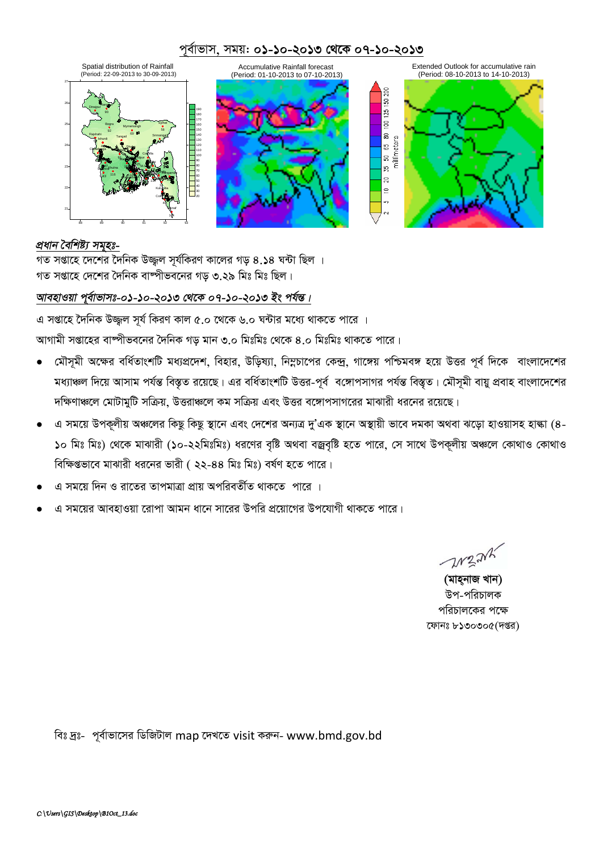## *c~e©vfvm, mgq: 01-10-2013 †\_‡K 07-10-2013*



#### *প্ৰধান বৈশিষ্ট্য সমৃহঃ-*

 $\frac{1}{2}$ সপ্তাহে দেশের দৈনিক উজ্জুল সূর্যকিরণ কালের গড় ৪.১৪ ঘন্টা ছিল ।  $\frac{1}{2}$  সপ্তাহে দেশের দৈনিক বাষ্পীভবনের গড ৩.২৯ মিঃ মিঃ ছিল।

# *আবহাওয়া প্*ৰ্বাভাসঃ-০১-১০-২০১৩ থেকে ০৭-১০-২০১৩ ইং পৰ্যন্ত।

*G mßv‡n ‰`wbK D¾¡j m~h© wKiY Kvj 5.0 ‡\_‡K 6.0 N›Uvi g‡a¨ \_vK‡Z cv‡i |*

স্মাগামী সপ্তাহের বাম্পীভবনের দৈনিক গড় মান ৩.০ মিঃমিঃ থেকে ৪.০ মিঃমিঃ থাকতে পারে।

- *(*মীসূমী অক্ষের বর্ধিতাংশটি মধ্যপ্রদেশ, বিহার, উড়িষ্যা, নিম্নচাপের কেন্দ্র, গাঙ্গেয় পশ্চিমবঙ্গ হয়ে উত্তর পূর্ব দিকে বাংলাদেশের মধ্যাঞ্চল দিয়ে আসাম পৰ্যন্ত বিস্তৃত রয়েছে। এর বর্ধিতাংশটি উত্তর-পূর্ব বঙ্গোপসাগর পর্যন্ত বিস্তৃত। মৌসুমী বায়ু প্রবাহ বাংলাদেশের *দ*ক্ষিণাঞ্চলে মোটামুটি সক্রিয়, উত্তরাঞ্চলে কম সক্রিয় এবং উত্তর বঙ্গোপসাগরের মাঝারী ধরনের রয়েছে।
- *G mg‡q DcK~jxq A‡ji wKQz wKQz ¯'v‡b Ges †`‡ki Ab¨Î `yÕGK ¯'v‡b A¯'vqx fv‡e `gKv A\_ev S‡ov nvIqvmn nvév (4-* ১০ মিঃ মিঃ) থেকে মাঝারী (১০-২২মিঃমিঃ) ধরণের বৃষ্টি অথবা বজ্রবৃষ্টি হতে পারে, সে সাথে উপকূলীয় অঞ্চলে কোথাও কোথাও *বি*ক্ষিগুভাবে মাঝারী ধরনের ভারী ( ২২-৪৪ মিঃ মিঃ) বর্ষণ হতে পারে।
- *G mg‡q w`b I iv‡Zi ZvcgvÎv cÖvq AcwieZx©Z \_vK‡Z cv‡i |*
- *G mg‡qi AvenvIqv ‡ivcv Avgb av‡b mv‡ii Dcwi cÖ‡qv‡Mi Dc‡hvMx \_vK‡Z cv‡i|*

M32NK

*(মাহনাজ খান)* উপ-পরিচালক পরিচালকের পক্ষে *‡dvbt 8130305(`ßi)*

wet `ªt*- c~e©vfv‡mi wWwRUvj* map *‡`L‡Z* visit *Kiæb-* www.bmd.gov.bd